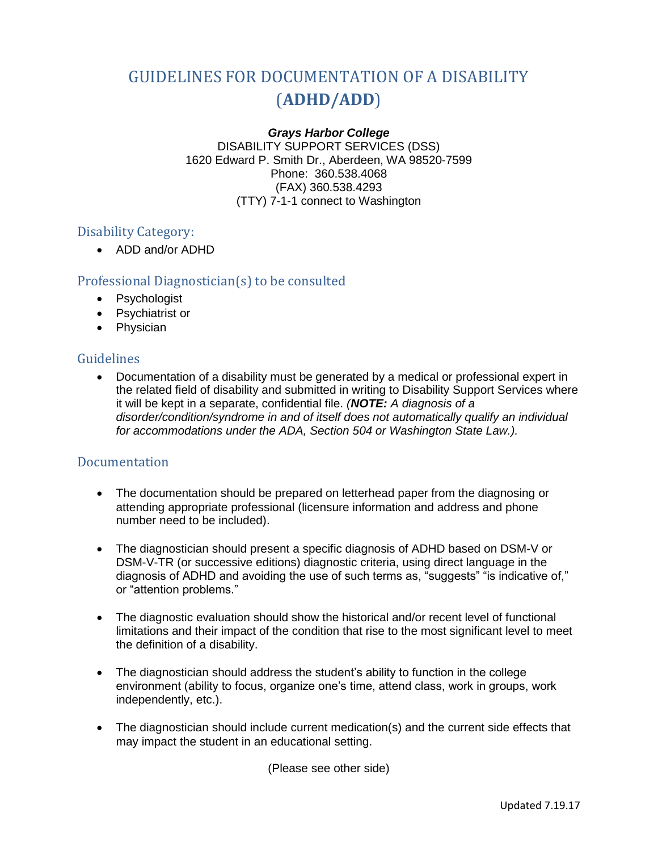# GUIDELINES FOR DOCUMENTATION OF A DISABILITY (**ADHD/ADD**)

#### *Grays Harbor College*

DISABILITY SUPPORT SERVICES (DSS) 1620 Edward P. Smith Dr., Aberdeen, WA 98520-7599 Phone: 360.538.4068 (FAX) 360.538.4293 (TTY) 7-1-1 connect to Washington

## Disability Category:

ADD and/or ADHD

## Professional Diagnostician(s) to be consulted

- Psychologist
- Psychiatrist or
- Physician

## Guidelines

 Documentation of a disability must be generated by a medical or professional expert in the related field of disability and submitted in writing to Disability Support Services where it will be kept in a separate, confidential file. *(NOTE: A diagnosis of a disorder/condition/syndrome in and of itself does not automatically qualify an individual for accommodations under the ADA, Section 504 or Washington State Law.).* 

## Documentation

- The documentation should be prepared on letterhead paper from the diagnosing or attending appropriate professional (licensure information and address and phone number need to be included).
- The diagnostician should present a specific diagnosis of ADHD based on DSM-V or DSM-V-TR (or successive editions) diagnostic criteria, using direct language in the diagnosis of ADHD and avoiding the use of such terms as, "suggests" "is indicative of," or "attention problems."
- The diagnostic evaluation should show the historical and/or recent level of functional limitations and their impact of the condition that rise to the most significant level to meet the definition of a disability.
- The diagnostician should address the student's ability to function in the college environment (ability to focus, organize one's time, attend class, work in groups, work independently, etc.).
- The diagnostician should include current medication(s) and the current side effects that may impact the student in an educational setting.

(Please see other side)